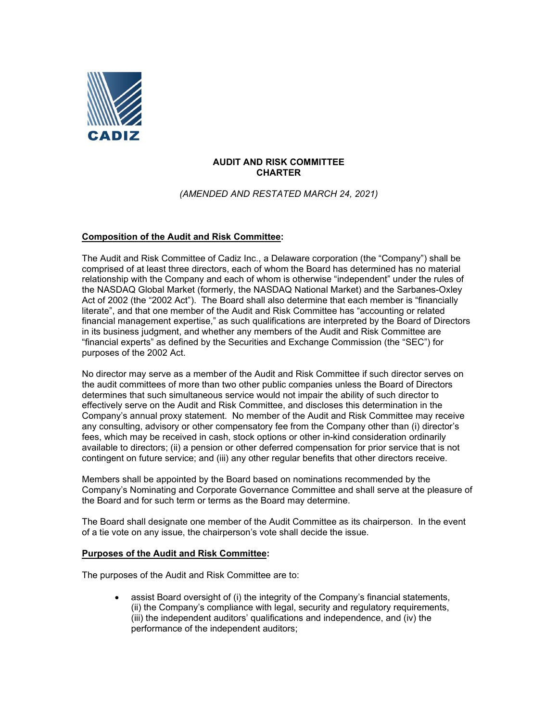

# **AUDIT AND RISK COMMITTEE CHARTER**

*(AMENDED AND RESTATED MARCH 24, 2021)*

## **Composition of the Audit and Risk Committee:**

The Audit and Risk Committee of Cadiz Inc., a Delaware corporation (the "Company") shall be comprised of at least three directors, each of whom the Board has determined has no material relationship with the Company and each of whom is otherwise "independent" under the rules of the NASDAQ Global Market (formerly, the NASDAQ National Market) and the Sarbanes-Oxley Act of 2002 (the "2002 Act"). The Board shall also determine that each member is "financially literate", and that one member of the Audit and Risk Committee has "accounting or related financial management expertise," as such qualifications are interpreted by the Board of Directors in its business judgment, and whether any members of the Audit and Risk Committee are "financial experts" as defined by the Securities and Exchange Commission (the "SEC") for purposes of the 2002 Act.

No director may serve as a member of the Audit and Risk Committee if such director serves on the audit committees of more than two other public companies unless the Board of Directors determines that such simultaneous service would not impair the ability of such director to effectively serve on the Audit and Risk Committee, and discloses this determination in the Company's annual proxy statement. No member of the Audit and Risk Committee may receive any consulting, advisory or other compensatory fee from the Company other than (i) director's fees, which may be received in cash, stock options or other in-kind consideration ordinarily available to directors; (ii) a pension or other deferred compensation for prior service that is not contingent on future service; and (iii) any other regular benefits that other directors receive.

Members shall be appointed by the Board based on nominations recommended by the Company's Nominating and Corporate Governance Committee and shall serve at the pleasure of the Board and for such term or terms as the Board may determine.

The Board shall designate one member of the Audit Committee as its chairperson. In the event of a tie vote on any issue, the chairperson's vote shall decide the issue.

## **Purposes of the Audit and Risk Committee:**

The purposes of the Audit and Risk Committee are to:

• assist Board oversight of (i) the integrity of the Company's financial statements, (ii) the Company's compliance with legal, security and regulatory requirements, (iii) the independent auditors' qualifications and independence, and (iv) the performance of the independent auditors;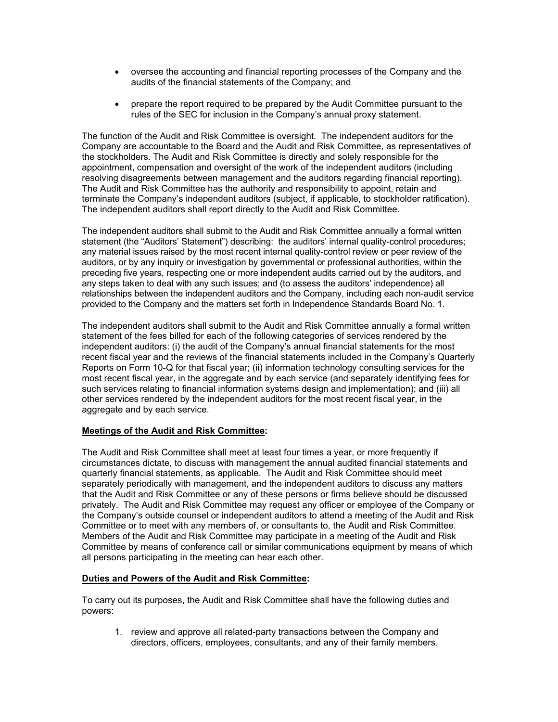- oversee the accounting and financial reporting processes of the Company and the audits of the financial statements of the Company; and
- prepare the report required to be prepared by the Audit Committee pursuant to the rules of the SEC for inclusion in the Company's annual proxy statement.

The function of the Audit and Risk Committee is oversight. The independent auditors for the Company are accountable to the Board and the Audit and Risk Committee, as representatives of the stockholders. The Audit and Risk Committee is directly and solely responsible for the appointment, compensation and oversight of the work of the independent auditors (including resolving disagreements between management and the auditors regarding financial reporting). The Audit and Risk Committee has the authority and responsibility to appoint, retain and terminate the Company's independent auditors (subject, if applicable, to stockholder ratification). The independent auditors shall report directly to the Audit and Risk Committee.

The independent auditors shall submit to the Audit and Risk Committee annually a formal written statement (the "Auditors' Statement") describing: the auditors' internal quality-control procedures; any material issues raised by the most recent internal quality-control review or peer review of the auditors, or by any inquiry or investigation by governmental or professional authorities, within the preceding five years, respecting one or more independent audits carried out by the auditors, and any steps taken to deal with any such issues; and (to assess the auditors' independence) all relationships between the independent auditors and the Company, including each non-audit service provided to the Company and the matters set forth in Independence Standards Board No. 1.

The independent auditors shall submit to the Audit and Risk Committee annually a formal written statement of the fees billed for each of the following categories of services rendered by the independent auditors: (i) the audit of the Company's annual financial statements for the most recent fiscal year and the reviews of the financial statements included in the Company's Quarterly Reports on Form 10-Q for that fiscal year; (ii) information technology consulting services for the most recent fiscal year, in the aggregate and by each service (and separately identifying fees for such services relating to financial information systems design and implementation); and (iii) all other services rendered by the independent auditors for the most recent fiscal year, in the aggregate and by each service.

## **Meetings of the Audit and Risk Committee:**

The Audit and Risk Committee shall meet at least four times a year, or more frequently if circumstances dictate, to discuss with management the annual audited financial statements and quarterly financial statements, as applicable. The Audit and Risk Committee should meet separately periodically with management, and the independent auditors to discuss any matters that the Audit and Risk Committee or any of these persons or firms believe should be discussed privately. The Audit and Risk Committee may request any officer or employee of the Company or the Company's outside counsel or independent auditors to attend a meeting of the Audit and Risk Committee or to meet with any members of, or consultants to, the Audit and Risk Committee. Members of the Audit and Risk Committee may participate in a meeting of the Audit and Risk Committee by means of conference call or similar communications equipment by means of which all persons participating in the meeting can hear each other.

## **Duties and Powers of the Audit and Risk Committee:**

To carry out its purposes, the Audit and Risk Committee shall have the following duties and powers:

1. review and approve all related-party transactions between the Company and directors, officers, employees, consultants, and any of their family members.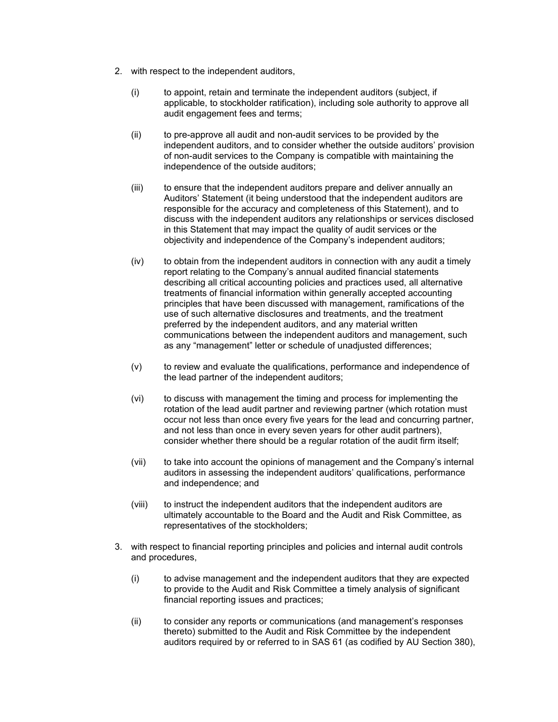- 2. with respect to the independent auditors,
	- (i) to appoint, retain and terminate the independent auditors (subject, if applicable, to stockholder ratification), including sole authority to approve all audit engagement fees and terms;
	- (ii) to pre-approve all audit and non-audit services to be provided by the independent auditors, and to consider whether the outside auditors' provision of non-audit services to the Company is compatible with maintaining the independence of the outside auditors;
	- (iii) to ensure that the independent auditors prepare and deliver annually an Auditors' Statement (it being understood that the independent auditors are responsible for the accuracy and completeness of this Statement), and to discuss with the independent auditors any relationships or services disclosed in this Statement that may impact the quality of audit services or the objectivity and independence of the Company's independent auditors;
	- (iv) to obtain from the independent auditors in connection with any audit a timely report relating to the Company's annual audited financial statements describing all critical accounting policies and practices used, all alternative treatments of financial information within generally accepted accounting principles that have been discussed with management, ramifications of the use of such alternative disclosures and treatments, and the treatment preferred by the independent auditors, and any material written communications between the independent auditors and management, such as any "management" letter or schedule of unadjusted differences;
	- (v) to review and evaluate the qualifications, performance and independence of the lead partner of the independent auditors;
	- (vi) to discuss with management the timing and process for implementing the rotation of the lead audit partner and reviewing partner (which rotation must occur not less than once every five years for the lead and concurring partner, and not less than once in every seven years for other audit partners), consider whether there should be a regular rotation of the audit firm itself;
	- (vii) to take into account the opinions of management and the Company's internal auditors in assessing the independent auditors' qualifications, performance and independence; and
	- (viii) to instruct the independent auditors that the independent auditors are ultimately accountable to the Board and the Audit and Risk Committee, as representatives of the stockholders;
- 3. with respect to financial reporting principles and policies and internal audit controls and procedures,
	- (i) to advise management and the independent auditors that they are expected to provide to the Audit and Risk Committee a timely analysis of significant financial reporting issues and practices;
	- (ii) to consider any reports or communications (and management's responses thereto) submitted to the Audit and Risk Committee by the independent auditors required by or referred to in SAS 61 (as codified by AU Section 380),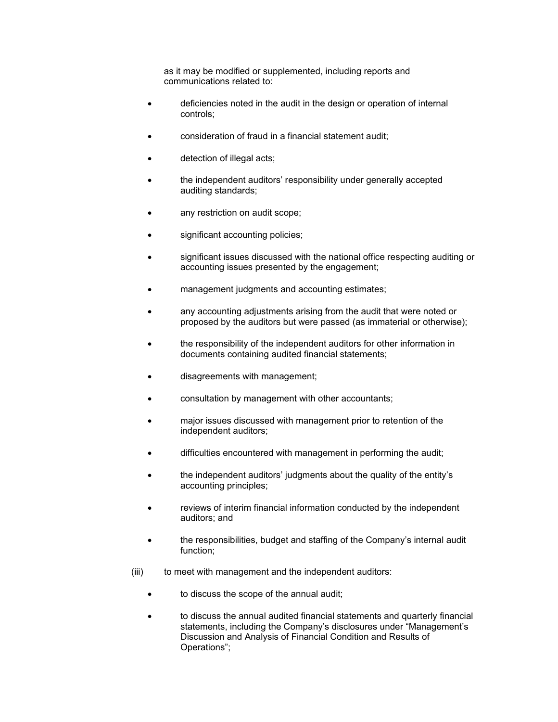as it may be modified or supplemented, including reports and communications related to:

- deficiencies noted in the audit in the design or operation of internal controls;
- consideration of fraud in a financial statement audit;
- detection of illegal acts;
- the independent auditors' responsibility under generally accepted auditing standards;
- any restriction on audit scope;
- significant accounting policies;
- significant issues discussed with the national office respecting auditing or accounting issues presented by the engagement;
- management judgments and accounting estimates;
- any accounting adjustments arising from the audit that were noted or proposed by the auditors but were passed (as immaterial or otherwise);
- the responsibility of the independent auditors for other information in documents containing audited financial statements;
- disagreements with management;
- consultation by management with other accountants;
- major issues discussed with management prior to retention of the independent auditors;
- difficulties encountered with management in performing the audit;
- the independent auditors' judgments about the quality of the entity's accounting principles;
- reviews of interim financial information conducted by the independent auditors; and
- the responsibilities, budget and staffing of the Company's internal audit function;
- (iii) to meet with management and the independent auditors:
	- to discuss the scope of the annual audit;
	- to discuss the annual audited financial statements and quarterly financial statements, including the Company's disclosures under "Management's Discussion and Analysis of Financial Condition and Results of Operations";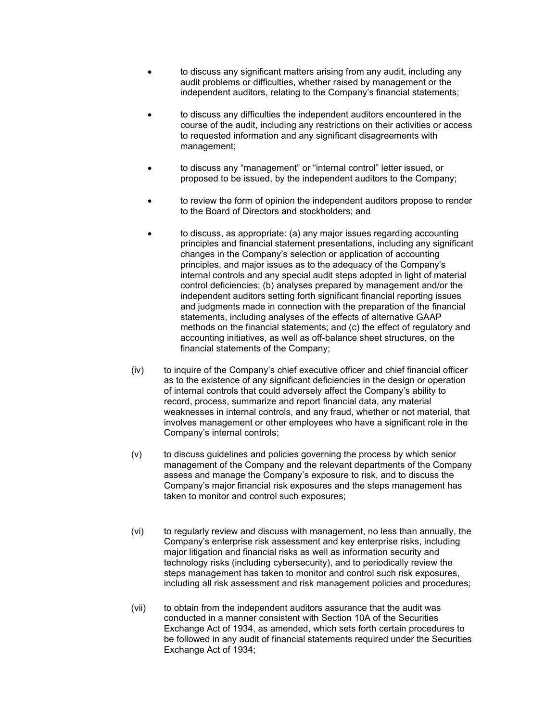- to discuss any significant matters arising from any audit, including any audit problems or difficulties, whether raised by management or the independent auditors, relating to the Company's financial statements;
- to discuss any difficulties the independent auditors encountered in the course of the audit, including any restrictions on their activities or access to requested information and any significant disagreements with management;
- to discuss any "management" or "internal control" letter issued, or proposed to be issued, by the independent auditors to the Company;
- to review the form of opinion the independent auditors propose to render to the Board of Directors and stockholders; and
- to discuss, as appropriate: (a) any major issues regarding accounting principles and financial statement presentations, including any significant changes in the Company's selection or application of accounting principles, and major issues as to the adequacy of the Company's internal controls and any special audit steps adopted in light of material control deficiencies; (b) analyses prepared by management and/or the independent auditors setting forth significant financial reporting issues and judgments made in connection with the preparation of the financial statements, including analyses of the effects of alternative GAAP methods on the financial statements; and (c) the effect of regulatory and accounting initiatives, as well as off-balance sheet structures, on the financial statements of the Company;
- (iv) to inquire of the Company's chief executive officer and chief financial officer as to the existence of any significant deficiencies in the design or operation of internal controls that could adversely affect the Company's ability to record, process, summarize and report financial data, any material weaknesses in internal controls, and any fraud, whether or not material, that involves management or other employees who have a significant role in the Company's internal controls;
- (v) to discuss guidelines and policies governing the process by which senior management of the Company and the relevant departments of the Company assess and manage the Company's exposure to risk, and to discuss the Company's major financial risk exposures and the steps management has taken to monitor and control such exposures;
- (vi) to regularly review and discuss with management, no less than annually, the Company's enterprise risk assessment and key enterprise risks, including major litigation and financial risks as well as information security and technology risks (including cybersecurity), and to periodically review the steps management has taken to monitor and control such risk exposures, including all risk assessment and risk management policies and procedures;
- (vii) to obtain from the independent auditors assurance that the audit was conducted in a manner consistent with Section 10A of the Securities Exchange Act of 1934, as amended, which sets forth certain procedures to be followed in any audit of financial statements required under the Securities Exchange Act of 1934;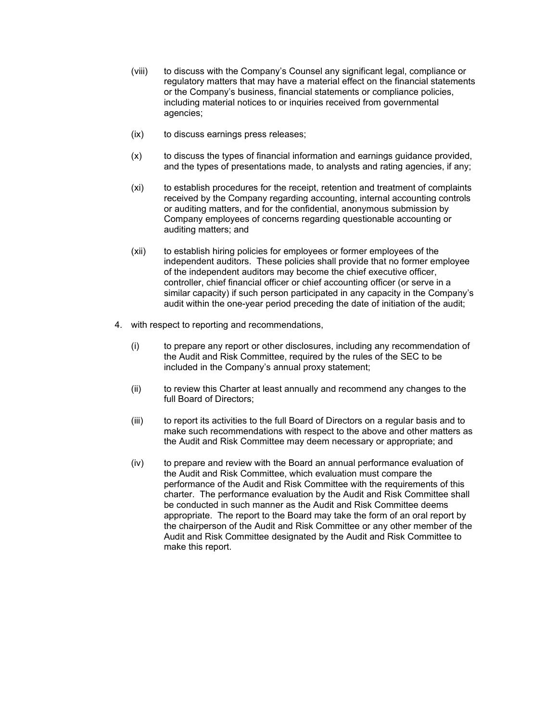- (viii) to discuss with the Company's Counsel any significant legal, compliance or regulatory matters that may have a material effect on the financial statements or the Company's business, financial statements or compliance policies, including material notices to or inquiries received from governmental agencies;
- (ix) to discuss earnings press releases;
- (x) to discuss the types of financial information and earnings guidance provided, and the types of presentations made, to analysts and rating agencies, if any;
- (xi) to establish procedures for the receipt, retention and treatment of complaints received by the Company regarding accounting, internal accounting controls or auditing matters, and for the confidential, anonymous submission by Company employees of concerns regarding questionable accounting or auditing matters; and
- (xii) to establish hiring policies for employees or former employees of the independent auditors. These policies shall provide that no former employee of the independent auditors may become the chief executive officer, controller, chief financial officer or chief accounting officer (or serve in a similar capacity) if such person participated in any capacity in the Company's audit within the one-year period preceding the date of initiation of the audit;
- 4. with respect to reporting and recommendations,
	- (i) to prepare any report or other disclosures, including any recommendation of the Audit and Risk Committee, required by the rules of the SEC to be included in the Company's annual proxy statement;
	- (ii) to review this Charter at least annually and recommend any changes to the full Board of Directors;
	- (iii) to report its activities to the full Board of Directors on a regular basis and to make such recommendations with respect to the above and other matters as the Audit and Risk Committee may deem necessary or appropriate; and
	- (iv) to prepare and review with the Board an annual performance evaluation of the Audit and Risk Committee, which evaluation must compare the performance of the Audit and Risk Committee with the requirements of this charter. The performance evaluation by the Audit and Risk Committee shall be conducted in such manner as the Audit and Risk Committee deems appropriate. The report to the Board may take the form of an oral report by the chairperson of the Audit and Risk Committee or any other member of the Audit and Risk Committee designated by the Audit and Risk Committee to make this report.